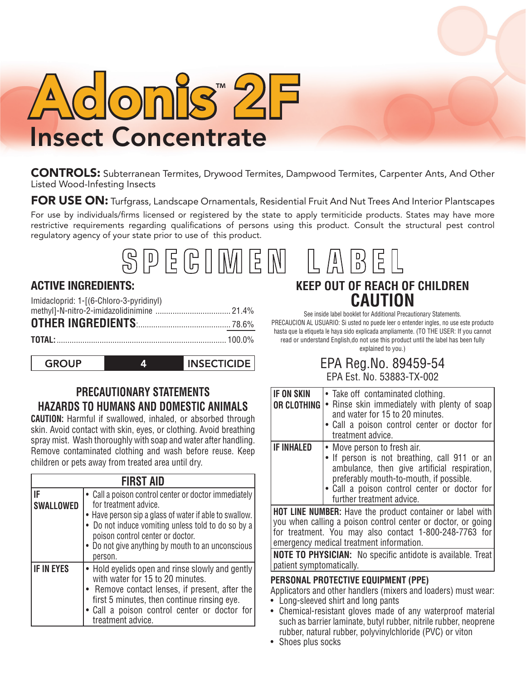

CONTROLS: Subterranean Termites, Drywood Termites, Dampwood Termites, Carpenter Ants, And Other Listed Wood-Infesting Insects

FOR USE ON: Turfgrass, Landscape Ornamentals, Residential Fruit And Nut Trees And Interior Plantscapes

For use by individuals/firms licensed or registered by the state to apply termiticide products. States may have more restrictive requirements regarding qualifications of persons using this product. Consult the structural pest control regulatory agency of your state prior to use of this product.

#### SPEGIMEN  $\binom{N}{D}$  $\bar{D}$

## **ACTIVE INGREDIENTS:**

| Imidacloprid: 1-[(6-Chloro-3-pyridinyl) |  |
|-----------------------------------------|--|
|                                         |  |
|                                         |  |
|                                         |  |

 $\mathbf{A}$ 

**GROUP** 

**INSECTICIDE** 

## **PRECAUTIONARY STATEMENTS HAZARDS TO HUMANS AND DOMESTIC ANIMALS**

**CAUTION:** Harmful if swallowed, inhaled, or absorbed through skin. Avoid contact with skin, eyes, or clothing. Avoid breathing spray mist. Wash thoroughly with soap and water after handling. Remove contaminated clothing and wash before reuse. Keep children or pets away from treated area until dry.

|                        | <b>FIRST AID</b>                                                                                                                                                                                                                                                                                  |
|------------------------|---------------------------------------------------------------------------------------------------------------------------------------------------------------------------------------------------------------------------------------------------------------------------------------------------|
| IF<br><b>SWALLOWED</b> | • Call a poison control center or doctor immediately<br>for treatment advice.<br>• Have person sip a glass of water if able to swallow.<br>• Do not induce vomiting unless told to do so by a<br>poison control center or doctor.<br>• Do not give anything by mouth to an unconscious<br>person. |
| <b>IF IN EYES</b>      | • Hold eyelids open and rinse slowly and gently<br>with water for 15 to 20 minutes.<br>• Remove contact lenses, if present, after the<br>first 5 minutes, then continue rinsing eye.<br>• Call a poison control center or doctor for<br>treatment advice.                                         |

# **KEEP OUT OF REACH OF CHILDREN CAUTION**

See inside label booklet for Additional Precautionary Statements. PRECAUCION AL USUARIO: Si usted no puede leer o entender ingles, no use este producto hasta que la etiqueta le haya sido explicada ampliamente. (TO THE USER: If you cannot read or understand English,do not use this product until the label has been fully explained to you.)

## EPA Reg.No. 89459-54 EPA Est. No. 53883-TX-002

| <b>IF ON SKIN</b><br>OR CLOTHING                                                                                                                                                                                                                                                                                                         | • Take off contaminated clothing.<br>• Rinse skin immediately with plenty of soap<br>and water for 15 to 20 minutes.<br>• Call a poison control center or doctor for<br>treatment advice.                                                           |  |  |
|------------------------------------------------------------------------------------------------------------------------------------------------------------------------------------------------------------------------------------------------------------------------------------------------------------------------------------------|-----------------------------------------------------------------------------------------------------------------------------------------------------------------------------------------------------------------------------------------------------|--|--|
| <b>IF INHALED</b>                                                                                                                                                                                                                                                                                                                        | • Move person to fresh air.<br>• If person is not breathing, call 911 or an<br>ambulance, then give artificial respiration,<br>preferably mouth-to-mouth, if possible.<br>• Call a poison control center or doctor for<br>further treatment advice. |  |  |
| <b>HOT LINE NUMBER:</b> Have the product container or label with<br>you when calling a poison control center or doctor, or going<br>for treatment. You may also contact 1-800-248-7763 for<br>emergency medical treatment information.<br><b>NOTE TO PHYSICIAN:</b> No specific antidote is available. Treat<br>patient symptomatically. |                                                                                                                                                                                                                                                     |  |  |
| PERSONAL PROTECTIVE EQUIPMENT (PPE)<br>Applicators and other handlers (mixers and loaders) must wear:                                                                                                                                                                                                                                    |                                                                                                                                                                                                                                                     |  |  |

- Long-sleeved shirt and long pants
- Chemical-resistant gloves made of any waterproof material such as barrier laminate, butyl rubber, nitrile rubber, neoprene rubber, natural rubber, polyvinylchloride (PVC) or viton
- Shoes plus socks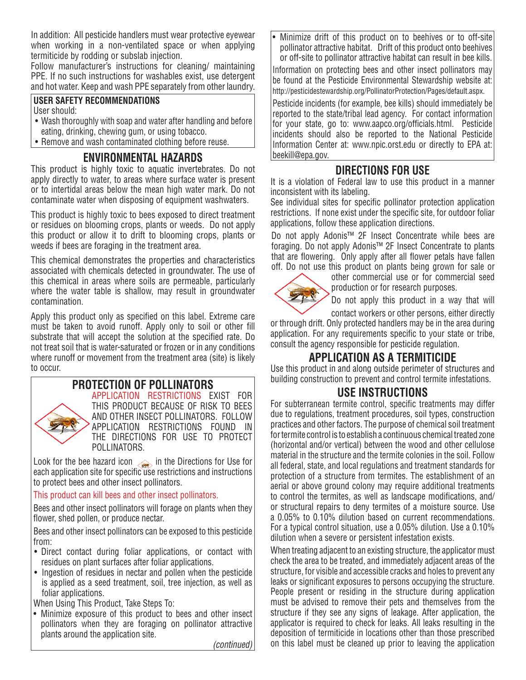In addition: All pesticide handlers must wear protective eyewear when working in a non-ventilated space or when applying termiticide by rodding or subslab injection.

Follow manufacturer's instructions for cleaning/ maintaining PPE. If no such instructions for washables exist, use detergent and hot water. Keep and wash PPE separately from other laundry.

#### **USER SAFETY RECOMMENDATIONS**

User should:

- Wash thoroughly with soap and water after handling and before eating, drinking, chewing gum, or using tobacco.
- Remove and wash contaminated clothing before reuse.

## **ENVIRONMENTAL HAZARDS**

This product is highly toxic to aquatic invertebrates. Do not apply directly to water, to areas where surface water is present or to intertidal areas below the mean high water mark. Do not contaminate water when disposing of equipment washwaters.

This product is highly toxic to bees exposed to direct treatment or residues on blooming crops, plants or weeds. Do not apply this product or allow it to drift to blooming crops, plants or weeds if bees are foraging in the treatment area.

This chemical demonstrates the properties and characteristics associated with chemicals detected in groundwater. The use of this chemical in areas where soils are permeable, particularly where the water table is shallow, may result in groundwater contamination.

Apply this product only as specified on this label. Extreme care must be taken to avoid runoff. Apply only to soil or other fill substrate that will accept the solution at the specified rate. Do not treat soil that is water-saturated or frozen or in any conditions where runoff or movement from the treatment area (site) is likely to occur.

#### **PROTECTION OF POLLINATORS** APPLICATION RESTRICTIONS EXIST FOR THIS PRODUCT BECAUSE OF RISK TO BEES AND OTHER INSECT POLLINATORS. FOLLOW APPLICATION RESTRICTIONS FOUND IN THE DIRECTIONS FOR USE TO PROTECT POLLINATORS.

Look for the bee hazard icon  $\leqslant$  in the Directions for Use for each application site for specific use restrictions and instructions to protect bees and other insect pollinators.

This product can kill bees and other insect pollinators.

Bees and other insect pollinators will forage on plants when they flower, shed pollen, or produce nectar.

Bees and other insect pollinators can be exposed to this pesticide from:

- Direct contact during foliar applications, or contact with residues on plant surfaces after foliar applications.
- Ingestion of residues in nectar and pollen when the pesticide is applied as a seed treatment, soil, tree injection, as well as foliar applications.

When Using This Product, Take Steps To:

• Minimize exposure of this product to bees and other insect pollinators when they are foraging on pollinator attractive plants around the application site.

*(continued)*

Minimize drift of this product on to beehives or to off-site pollinator attractive habitat. Drift of this product onto beehives or off-site to pollinator attractive habitat can result in bee kills.

Information on protecting bees and other insect pollinators may be found at the Pesticide Environmental Stewardship website at: http://pesticidestewardship.org/PollinatorProtection/Pages/default.aspx.

Pesticide incidents (for example, bee kills) should immediately be reported to the state/tribal lead agency. For contact information for your state, go to: www.aapco.org/officials.html. Pesticide incidents should also be reported to the National Pesticide Information Center at: www.npic.orst.edu or directly to EPA at: beekill@epa.gov.

## **DIRECTIONS FOR USE**

It is a violation of Federal law to use this product in a manner inconsistent with its labeling.

See individual sites for specific pollinator protection application restrictions. If none exist under the specific site, for outdoor foliar applications, follow these application directions.

Do not apply Adonis™ 2F Insect Concentrate while bees are foraging. Do not apply Adonis™ 2F Insect Concentrate to plants that are flowering. Only apply after all flower petals have fallen off. Do not use this product on plants being grown for sale or



other commercial use or for commercial seed production or for research purposes.

Do not apply this product in a way that will contact workers or other persons, either directly

or through drift. Only protected handlers may be in the area during application. For any requirements specific to your state or tribe, consult the agency responsible for pesticide regulation.

## **APPLICATION AS A TERMITICIDE**

Use this product in and along outside perimeter of structures and building construction to prevent and control termite infestations.

## **USE INSTRUCTIONS**

For subterranean termite control, specific treatments may differ due to regulations, treatment procedures, soil types, construction practices and other factors. The purpose of chemical soil treatment for termite control is to establish a continuous chemical treated zone (horizontal and/or vertical) between the wood and other cellulose material in the structure and the termite colonies in the soil. Follow all federal, state, and local regulations and treatment standards for protection of a structure from termites. The establishment of an aerial or above ground colony may require additional treatments to control the termites, as well as landscape modifications, and/ or structural repairs to deny termites of a moisture source. Use a 0.05% to 0.10% dilution based on current recommendations. For a typical control situation, use a 0.05% dilution. Use a 0.10% dilution when a severe or persistent infestation exists.

When treating adjacent to an existing structure, the applicator must check the area to be treated, and immediately adjacent areas of the structure, for visible and accessible cracks and holes to prevent any leaks or significant exposures to persons occupying the structure. People present or residing in the structure during application must be advised to remove their pets and themselves from the structure if they see any signs of leakage. After application, the applicator is required to check for leaks. All leaks resulting in the deposition of termiticide in locations other than those prescribed on this label must be cleaned up prior to leaving the application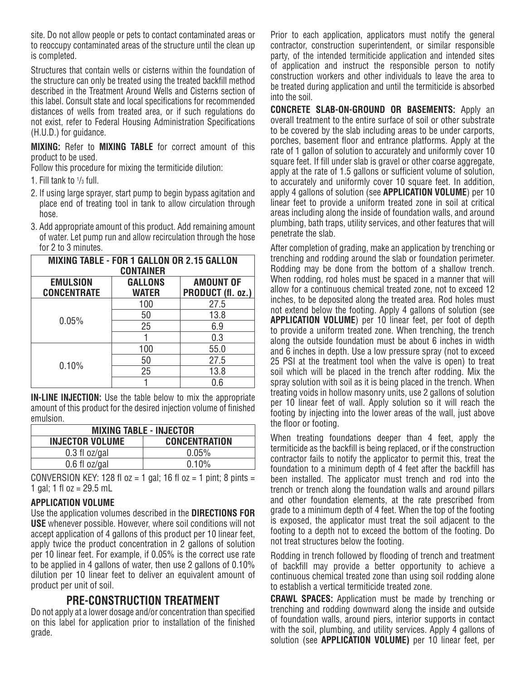site. Do not allow people or pets to contact contaminated areas or to reoccupy contaminated areas of the structure until the clean up is completed.

Structures that contain wells or cisterns within the foundation of the structure can only be treated using the treated backfill method described in the Treatment Around Wells and Cisterns section of this label. Consult state and local specifications for recommended distances of wells from treated area, or if such regulations do not exist, refer to Federal Housing Administration Specifications (H.U.D.) for guidance.

**MIXING:** Refer to **MIXING TABLE** for correct amount of this product to be used.

Follow this procedure for mixing the termiticide dilution:

1. Fill tank to  $\frac{1}{3}$  full.

- 2. If using large sprayer, start pump to begin bypass agitation and place end of treating tool in tank to allow circulation through hose.
- 3. Add appropriate amount of this product. Add remaining amount of water. Let pump run and allow recirculation through the hose for 2 to 3 minutes.

| <b>MIXING TABLE - FOR 1 GALLON OR 2.15 GALLON</b><br><b>CONTAINER</b> |                                       |      |  |  |
|-----------------------------------------------------------------------|---------------------------------------|------|--|--|
| <b>EMULSION</b><br><b>CONCENTRATE</b>                                 | <b>AMOUNT OF</b><br>PRODUCT (fl. oz.) |      |  |  |
| 0.05%                                                                 | 100                                   | 27.5 |  |  |
|                                                                       | 50                                    | 13.8 |  |  |
|                                                                       | 25                                    | 6.9  |  |  |
|                                                                       |                                       | 0.3  |  |  |
| 0.10%                                                                 | 100                                   | 55.0 |  |  |
|                                                                       | 50                                    | 27.5 |  |  |
|                                                                       | 25                                    | 13.8 |  |  |
|                                                                       |                                       | 0.6  |  |  |

**IN-LINE INJECTION:** Use the table below to mix the appropriate amount of this product for the desired injection volume of finished emulsion.

| <b>MIXING TABLE - INJECTOR</b>                 |       |  |  |
|------------------------------------------------|-------|--|--|
| <b>CONCENTRATION</b><br><b>INJECTOR VOLUME</b> |       |  |  |
| $0.3$ fl oz/gal                                | 0.05% |  |  |
| $0.6$ fl oz/gal                                | 0.10% |  |  |

CONVERSION KEY: 128 fl  $oz = 1$  gal; 16 fl  $oz = 1$  pint; 8 pints = 1 gal; 1 fl  $oz = 29.5$  mL

#### **APPLICATION VOLUME**

Use the application volumes described in the **DIRECTIONS FOR USE** whenever possible. However, where soil conditions will not accept application of 4 gallons of this product per 10 linear feet, apply twice the product concentration in 2 gallons of solution per 10 linear feet. For example, if 0.05% is the correct use rate to be applied in 4 gallons of water, then use 2 gallons of 0.10% dilution per 10 linear feet to deliver an equivalent amount of product per unit of soil.

## **PRE-CONSTRUCTION TREATMENT**

Do not apply at a lower dosage and/or concentration than specified on this label for application prior to installation of the finished grade.

Prior to each application, applicators must notify the general contractor, construction superintendent, or similar responsible party, of the intended termiticide application and intended sites of application and instruct the responsible person to notify construction workers and other individuals to leave the area to be treated during application and until the termiticide is absorbed into the soil.

**CONCRETE SLAB-ON-GROUND OR BASEMENTS:** Apply an overall treatment to the entire surface of soil or other substrate to be covered by the slab including areas to be under carports, porches, basement floor and entrance platforms. Apply at the rate of 1 gallon of solution to accurately and uniformly cover 10 square feet. If fill under slab is gravel or other coarse aggregate, apply at the rate of 1.5 gallons or sufficient volume of solution, to accurately and uniformly cover 10 square feet. In addition, apply 4 gallons of solution (see **APPLICATION VOLUME**) per 10 linear feet to provide a uniform treated zone in soil at critical areas including along the inside of foundation walls, and around plumbing, bath traps, utility services, and other features that will penetrate the slab.

After completion of grading, make an application by trenching or trenching and rodding around the slab or foundation perimeter. Rodding may be done from the bottom of a shallow trench. When rodding, rod holes must be spaced in a manner that will allow for a continuous chemical treated zone, not to exceed 12 inches, to be deposited along the treated area. Rod holes must not extend below the footing. Apply 4 gallons of solution (see **APPLICATION VOLUME**) per 10 linear feet, per foot of depth to provide a uniform treated zone. When trenching, the trench along the outside foundation must be about 6 inches in width and 6 inches in depth. Use a low pressure spray (not to exceed 25 PSI at the treatment tool when the valve is open) to treat soil which will be placed in the trench after rodding. Mix the spray solution with soil as it is being placed in the trench. When treating voids in hollow masonry units, use 2 gallons of solution per 10 linear feet of wall. Apply solution so it will reach the footing by injecting into the lower areas of the wall, just above the floor or footing.

When treating foundations deeper than 4 feet, apply the termiticide as the backfill is being replaced, or if the construction contractor fails to notify the applicator to permit this, treat the foundation to a minimum depth of 4 feet after the backfill has been installed. The applicator must trench and rod into the trench or trench along the foundation walls and around pillars and other foundation elements, at the rate prescribed from grade to a minimum depth of 4 feet. When the top of the footing is exposed, the applicator must treat the soil adjacent to the footing to a depth not to exceed the bottom of the footing. Do not treat structures below the footing.

Rodding in trench followed by flooding of trench and treatment of backfill may provide a better opportunity to achieve a continuous chemical treated zone than using soil rodding alone to establish a vertical termiticide treated zone.

**CRAWL SPACES:** Application must be made by trenching or trenching and rodding downward along the inside and outside of foundation walls, around piers, interior supports in contact with the soil, plumbing, and utility services. Apply 4 gallons of solution (see **APPLICATION VOLUME)** per 10 linear feet, per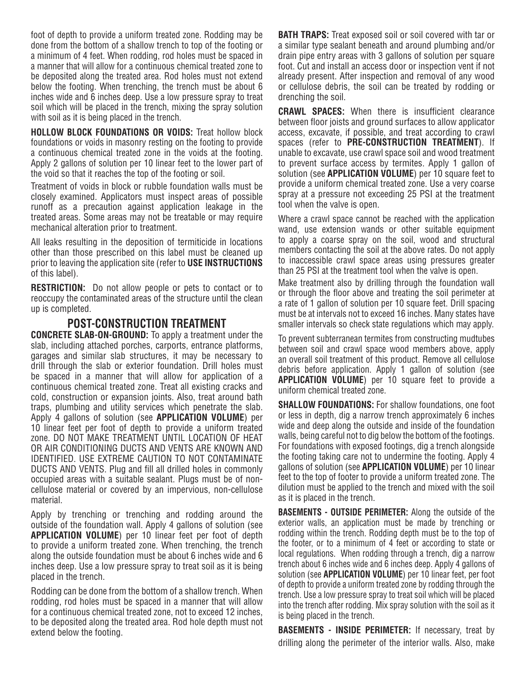foot of depth to provide a uniform treated zone. Rodding may be done from the bottom of a shallow trench to top of the footing or a minimum of 4 feet. When rodding, rod holes must be spaced in a manner that will allow for a continuous chemical treated zone to be deposited along the treated area. Rod holes must not extend below the footing. When trenching, the trench must be about 6 inches wide and 6 inches deep. Use a low pressure spray to treat soil which will be placed in the trench, mixing the spray solution with soil as it is being placed in the trench.

**HOLLOW BLOCK FOUNDATIONS OR VOIDS:** Treat hollow block foundations or voids in masonry resting on the footing to provide a continuous chemical treated zone in the voids at the footing. Apply 2 gallons of solution per 10 linear feet to the lower part of the void so that it reaches the top of the footing or soil.

Treatment of voids in block or rubble foundation walls must be closely examined. Applicators must inspect areas of possible runoff as a precaution against application leakage in the treated areas. Some areas may not be treatable or may require mechanical alteration prior to treatment.

All leaks resulting in the deposition of termiticide in locations other than those prescribed on this label must be cleaned up prior to leaving the application site (refer to **USE INSTRUCTIONS** of this label).

**RESTRICTION:** Do not allow people or pets to contact or to reoccupy the contaminated areas of the structure until the clean up is completed.

### **POST-CONSTRUCTION TREATMENT**

**CONCRETE SLAB-ON-GROUND:** To apply a treatment under the slab, including attached porches, carports, entrance platforms, garages and similar slab structures, it may be necessary to drill through the slab or exterior foundation. Drill holes must be spaced in a manner that will allow for application of a continuous chemical treated zone. Treat all existing cracks and cold, construction or expansion joints. Also, treat around bath traps, plumbing and utility services which penetrate the slab. Apply 4 gallons of solution (see **APPLICATION VOLUME**) per 10 linear feet per foot of depth to provide a uniform treated zone. DO NOT MAKE TREATMENT UNTIL LOCATION OF HEAT OR AIR CONDITIONING DUCTS AND VENTS ARE KNOWN AND IDENTIFIED. USE EXTREME CAUTION TO NOT CONTAMINATE DUCTS AND VENTS. Plug and fill all drilled holes in commonly occupied areas with a suitable sealant. Plugs must be of noncellulose material or covered by an impervious, non-cellulose material.

Apply by trenching or trenching and rodding around the outside of the foundation wall. Apply 4 gallons of solution (see **APPLICATION VOLUME**) per 10 linear feet per foot of depth to provide a uniform treated zone. When trenching, the trench along the outside foundation must be about 6 inches wide and 6 inches deep. Use a low pressure spray to treat soil as it is being placed in the trench.

Rodding can be done from the bottom of a shallow trench. When rodding, rod holes must be spaced in a manner that will allow for a continuous chemical treated zone, not to exceed 12 inches, to be deposited along the treated area. Rod hole depth must not extend below the footing.

**BATH TRAPS:** Treat exposed soil or soil covered with tar or a similar type sealant beneath and around plumbing and/or drain pipe entry areas with 3 gallons of solution per square foot. Cut and install an access door or inspection vent if not already present. After inspection and removal of any wood or cellulose debris, the soil can be treated by rodding or drenching the soil.

**CRAWL SPACES:** When there is insufficient clearance between floor joists and ground surfaces to allow applicator access, excavate, if possible, and treat according to crawl spaces (refer to **PRE-CONSTRUCTION TREATMENT**). If unable to excavate, use crawl space soil and wood treatment to prevent surface access by termites. Apply 1 gallon of solution (see **APPLICATION VOLUME**) per 10 square feet to provide a uniform chemical treated zone. Use a very coarse spray at a pressure not exceeding 25 PSI at the treatment tool when the valve is open.

Where a crawl space cannot be reached with the application wand, use extension wands or other suitable equipment to apply a coarse spray on the soil, wood and structural members contacting the soil at the above rates. Do not apply to inaccessible crawl space areas using pressures greater than 25 PSI at the treatment tool when the valve is open.

Make treatment also by drilling through the foundation wall or through the floor above and treating the soil perimeter at a rate of 1 gallon of solution per 10 square feet. Drill spacing must be at intervals not to exceed 16 inches. Many states have smaller intervals so check state regulations which may apply.

To prevent subterranean termites from constructing mudtubes between soil and crawl space wood members above, apply an overall soil treatment of this product. Remove all cellulose debris before application. Apply 1 gallon of solution (see **APPLICATION VOLUME**) per 10 square feet to provide a uniform chemical treated zone.

**SHALLOW FOUNDATIONS:** For shallow foundations, one foot or less in depth, dig a narrow trench approximately 6 inches wide and deep along the outside and inside of the foundation walls, being careful not to dig below the bottom of the footings. For foundations with exposed footings, dig a trench alongside the footing taking care not to undermine the footing. Apply 4 gallons of solution (see **APPLICATION VOLUME**) per 10 linear feet to the top of footer to provide a uniform treated zone. The dilution must be applied to the trench and mixed with the soil as it is placed in the trench.

**BASEMENTS - OUTSIDE PERIMETER:** Along the outside of the exterior walls, an application must be made by trenching or rodding within the trench. Rodding depth must be to the top of the footer, or to a minimum of 4 feet or according to state or local regulations. When rodding through a trench, dig a narrow trench about 6 inches wide and 6 inches deep. Apply 4 gallons of solution (see **APPLICATION VOLUME**) per 10 linear feet, per foot of depth to provide a uniform treated zone by rodding through the trench. Use a low pressure spray to treat soil which will be placed into the trench after rodding. Mix spray solution with the soil as it is being placed in the trench.

**BASEMENTS - INSIDE PERIMETER:** If necessary, treat by drilling along the perimeter of the interior walls. Also, make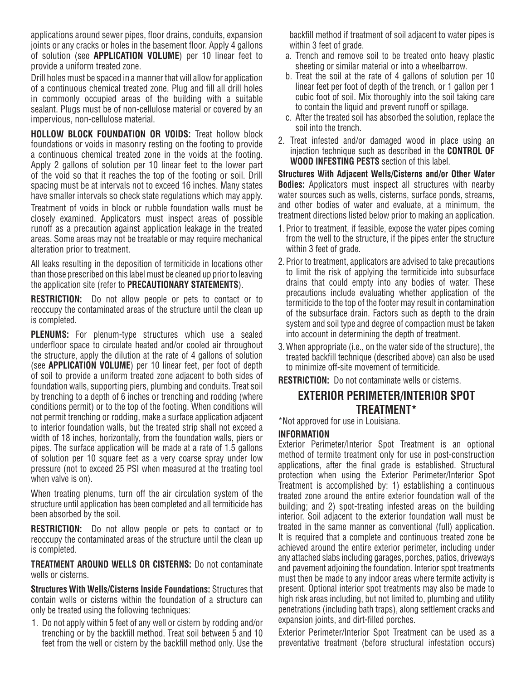applications around sewer pipes, floor drains, conduits, expansion joints or any cracks or holes in the basement floor. Apply 4 gallons of solution (see **APPLICATION VOLUME**) per 10 linear feet to provide a uniform treated zone.

Drill holes must be spaced in a manner that will allow for application of a continuous chemical treated zone. Plug and fill all drill holes in commonly occupied areas of the building with a suitable sealant. Plugs must be of non-cellulose material or covered by an impervious, non-cellulose material.

**HOLLOW BLOCK FOUNDATION OR VOIDS:** Treat hollow block foundations or voids in masonry resting on the footing to provide a continuous chemical treated zone in the voids at the footing. Apply 2 gallons of solution per 10 linear feet to the lower part of the void so that it reaches the top of the footing or soil. Drill spacing must be at intervals not to exceed 16 inches. Many states have smaller intervals so check state regulations which may apply. Treatment of voids in block or rubble foundation walls must be closely examined. Applicators must inspect areas of possible runoff as a precaution against application leakage in the treated areas. Some areas may not be treatable or may require mechanical alteration prior to treatment.

All leaks resulting in the deposition of termiticide in locations other than those prescribed on this label must be cleaned up prior to leaving the application site (refer to **PRECAUTIONARY STATEMENTS**).

**RESTRICTION:** Do not allow people or pets to contact or to reoccupy the contaminated areas of the structure until the clean up is completed.

**PLENUMS:** For plenum-type structures which use a sealed underfloor space to circulate heated and/or cooled air throughout the structure, apply the dilution at the rate of 4 gallons of solution (see **APPLICATION VOLUME**) per 10 linear feet, per foot of depth of soil to provide a uniform treated zone adjacent to both sides of foundation walls, supporting piers, plumbing and conduits. Treat soil by trenching to a depth of 6 inches or trenching and rodding (where conditions permit) or to the top of the footing. When conditions will not permit trenching or rodding, make a surface application adjacent to interior foundation walls, but the treated strip shall not exceed a width of 18 inches, horizontally, from the foundation walls, piers or pipes. The surface application will be made at a rate of 1.5 gallons of solution per 10 square feet as a very coarse spray under low pressure (not to exceed 25 PSI when measured at the treating tool when valve is on).

When treating plenums, turn off the air circulation system of the structure until application has been completed and all termiticide has been absorbed by the soil.

**RESTRICTION:** Do not allow people or pets to contact or to reoccupy the contaminated areas of the structure until the clean up is completed.

**TREATMENT AROUND WELLS OR CISTERNS:** Do not contaminate wells or cisterns.

**Structures With Wells/Cisterns Inside Foundations:** Structures that contain wells or cisterns within the foundation of a structure can only be treated using the following techniques:

1. Do not apply within 5 feet of any well or cistern by rodding and/or trenching or by the backfill method. Treat soil between 5 and 10 feet from the well or cistern by the backfill method only. Use the backfill method if treatment of soil adjacent to water pipes is within 3 feet of grade.

- a. Trench and remove soil to be treated onto heavy plastic sheeting or similar material or into a wheelbarrow.
- b. Treat the soil at the rate of 4 gallons of solution per 10 linear feet per foot of depth of the trench, or 1 gallon per 1 cubic foot of soil. Mix thoroughly into the soil taking care to contain the liquid and prevent runoff or spillage.
- c. After the treated soil has absorbed the solution, replace the soil into the trench.
- 2. Treat infested and/or damaged wood in place using an injection technique such as described in the **CONTROL OF WOOD INFESTING PESTS** section of this label.

**Structures With Adjacent Wells/Cisterns and/or Other Water Bodies:** Applicators must inspect all structures with nearby water sources such as wells, cisterns, surface ponds, streams, and other bodies of water and evaluate, at a minimum, the treatment directions listed below prior to making an application.

- 1. Prior to treatment, if feasible, expose the water pipes coming from the well to the structure, if the pipes enter the structure within 3 feet of grade.
- 2. Prior to treatment, applicators are advised to take precautions to limit the risk of applying the termiticide into subsurface drains that could empty into any bodies of water. These precautions include evaluating whether application of the termiticide to the top of the footer may result in contamination of the subsurface drain. Factors such as depth to the drain system and soil type and degree of compaction must be taken into account in determining the depth of treatment.
- 3. When appropriate (i.e., on the water side of the structure), the treated backfill technique (described above) can also be used to minimize off-site movement of termiticide.

**RESTRICTION:** Do not contaminate wells or cisterns.

## **EXTERIOR PERIMETER/INTERIOR SPOT TREATMENT\***

\*Not approved for use in Louisiana.

#### **INFORMATION**

Exterior Perimeter/Interior Spot Treatment is an optional method of termite treatment only for use in post-construction applications, after the final grade is established. Structural protection when using the Exterior Perimeter/Interior Spot Treatment is accomplished by: 1) establishing a continuous treated zone around the entire exterior foundation wall of the building; and 2) spot-treating infested areas on the building interior. Soil adjacent to the exterior foundation wall must be treated in the same manner as conventional (full) application. It is required that a complete and continuous treated zone be achieved around the entire exterior perimeter, including under any attached slabs including garages, porches, patios, driveways and pavement adjoining the foundation. Interior spot treatments must then be made to any indoor areas where termite activity is present. Optional interior spot treatments may also be made to high risk areas including, but not limited to, plumbing and utility penetrations (including bath traps), along settlement cracks and expansion joints, and dirt-filled porches.

Exterior Perimeter/Interior Spot Treatment can be used as a preventative treatment (before structural infestation occurs)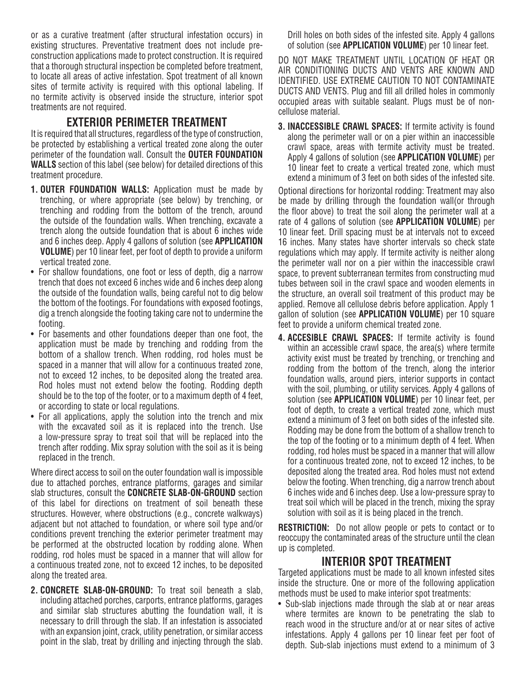or as a curative treatment (after structural infestation occurs) in existing structures. Preventative treatment does not include preconstruction applications made to protect construction. It is required that a thorough structural inspection be completed before treatment, to locate all areas of active infestation. Spot treatment of all known sites of termite activity is required with this optional labeling. If no termite activity is observed inside the structure, interior spot treatments are not required.

## **EXTERIOR PERIMETER TREATMENT**

It is required that all structures, regardless of the type of construction, be protected by establishing a vertical treated zone along the outer perimeter of the foundation wall. Consult the **OUTER FOUNDATION WALLS** section of this label (see below) for detailed directions of this treatment procedure.

- **1. OUTER FOUNDATION WALLS:** Application must be made by trenching, or where appropriate (see below) by trenching, or trenching and rodding from the bottom of the trench, around the outside of the foundation walls. When trenching, excavate a trench along the outside foundation that is about 6 inches wide and 6 inches deep. Apply 4 gallons of solution (see **APPLICATION VOLUME**) per 10 linear feet, per foot of depth to provide a uniform vertical treated zone.
- For shallow foundations, one foot or less of depth, dig a narrow trench that does not exceed 6 inches wide and 6 inches deep along the outside of the foundation walls, being careful not to dig below the bottom of the footings. For foundations with exposed footings, dig a trench alongside the footing taking care not to undermine the footing.
- For basements and other foundations deeper than one foot, the application must be made by trenching and rodding from the bottom of a shallow trench. When rodding, rod holes must be spaced in a manner that will allow for a continuous treated zone, not to exceed 12 inches, to be deposited along the treated area. Rod holes must not extend below the footing. Rodding depth should be to the top of the footer, or to a maximum depth of 4 feet, or according to state or local regulations.
- For all applications, apply the solution into the trench and mix with the excavated soil as it is replaced into the trench. Use a low-pressure spray to treat soil that will be replaced into the trench after rodding. Mix spray solution with the soil as it is being replaced in the trench.

Where direct access to soil on the outer foundation wall is impossible due to attached porches, entrance platforms, garages and similar slab structures, consult the **CONCRETE SLAB-ON-GROUND** section of this label for directions on treatment of soil beneath these structures. However, where obstructions (e.g., concrete walkways) adjacent but not attached to foundation, or where soil type and/or conditions prevent trenching the exterior perimeter treatment may be performed at the obstructed location by rodding alone. When rodding, rod holes must be spaced in a manner that will allow for a continuous treated zone, not to exceed 12 inches, to be deposited along the treated area.

**2. CONCRETE SLAB-ON-GROUND:** To treat soil beneath a slab, including attached porches, carports, entrance platforms, garages and similar slab structures abutting the foundation wall, it is necessary to drill through the slab. If an infestation is associated with an expansion joint, crack, utility penetration, or similar access point in the slab, treat by drilling and injecting through the slab.

Drill holes on both sides of the infested site. Apply 4 gallons of solution (see **APPLICATION VOLUME**) per 10 linear feet.

DO NOT MAKE TREATMENT UNTIL LOCATION OF HEAT OR AIR CONDITIONING DUCTS AND VENTS ARE KNOWN AND IDENTIFIED. USE EXTREME CAUTION TO NOT CONTAMINATE DUCTS AND VENTS. Plug and fill all drilled holes in commonly occupied areas with suitable sealant. Plugs must be of noncellulose material.

**3. INACCESSIBLE CRAWL SPACES:** If termite activity is found along the perimeter wall or on a pier within an inaccessible crawl space, areas with termite activity must be treated. Apply 4 gallons of solution (see **APPLICATION VOLUME**) per 10 linear feet to create a vertical treated zone, which must extend a minimum of 3 feet on both sides of the infested site.

Optional directions for horizontal rodding: Treatment may also be made by drilling through the foundation wall(or through the floor above) to treat the soil along the perimeter wall at a rate of 4 gallons of solution (see **APPLICATION VOLUME**) per 10 linear feet. Drill spacing must be at intervals not to exceed 16 inches. Many states have shorter intervals so check state regulations which may apply. If termite activity is neither along the perimeter wall nor on a pier within the inaccessible crawl space, to prevent subterranean termites from constructing mud tubes between soil in the crawl space and wooden elements in the structure, an overall soil treatment of this product may be applied. Remove all cellulose debris before application. Apply 1 gallon of solution (see **APPLICATION VOLUME**) per 10 square feet to provide a uniform chemical treated zone.

**4. ACCESIBLE CRAWL SPACES:** If termite activity is found within an accessible crawl space, the area(s) where termite activity exist must be treated by trenching, or trenching and rodding from the bottom of the trench, along the interior foundation walls, around piers, interior supports in contact with the soil, plumbing, or utility services. Apply 4 gallons of solution (see **APPLICATION VOLUME**) per 10 linear feet, per foot of depth, to create a vertical treated zone, which must extend a minimum of 3 feet on both sides of the infested site. Rodding may be done from the bottom of a shallow trench to the top of the footing or to a minimum depth of 4 feet. When rodding, rod holes must be spaced in a manner that will allow for a continuous treated zone, not to exceed 12 inches, to be deposited along the treated area. Rod holes must not extend below the footing. When trenching, dig a narrow trench about 6 inches wide and 6 inches deep. Use a low-pressure spray to treat soil which will be placed in the trench, mixing the spray solution with soil as it is being placed in the trench.

**RESTRICTION:** Do not allow people or pets to contact or to reoccupy the contaminated areas of the structure until the clean up is completed.

## **INTERIOR SPOT TREATMENT**

Targeted applications must be made to all known infested sites inside the structure. One or more of the following application methods must be used to make interior spot treatments:

• Sub-slab injections made through the slab at or near areas where termites are known to be penetrating the slab to reach wood in the structure and/or at or near sites of active infestations. Apply 4 gallons per 10 linear feet per foot of depth. Sub-slab injections must extend to a minimum of 3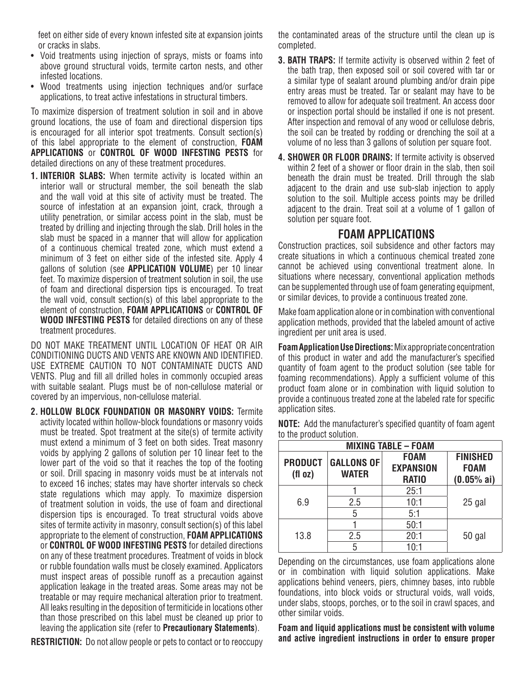feet on either side of every known infested site at expansion joints or cracks in slabs.

- Void treatments using injection of sprays, mists or foams into above ground structural voids, termite carton nests, and other infested locations.
- Wood treatments using injection techniques and/or surface applications, to treat active infestations in structural timbers.

To maximize dispersion of treatment solution in soil and in above ground locations, the use of foam and directional dispersion tips is encouraged for all interior spot treatments. Consult section(s) of this label appropriate to the element of construction, **FOAM APPLICATIONS** or **CONTROL OF WOOD INFESTING PESTS** for detailed directions on any of these treatment procedures.

**1. INTERIOR SLABS:** When termite activity is located within an interior wall or structural member, the soil beneath the slab and the wall void at this site of activity must be treated. The source of infestation at an expansion joint, crack, through a utility penetration, or similar access point in the slab, must be treated by drilling and injecting through the slab. Drill holes in the slab must be spaced in a manner that will allow for application of a continuous chemical treated zone, which must extend a minimum of 3 feet on either side of the infested site. Apply 4 gallons of solution (see **APPLICATION VOLUME**) per 10 linear feet. To maximize dispersion of treatment solution in soil, the use of foam and directional dispersion tips is encouraged. To treat the wall void, consult section(s) of this label appropriate to the element of construction, **FOAM APPLICATIONS** or **CONTROL OF WOOD INFESTING PESTS** for detailed directions on any of these treatment procedures.

DO NOT MAKE TREATMENT UNTIL LOCATION OF HEAT OR AIR CONDITIONING DUCTS AND VENTS ARE KNOWN AND IDENTIFIED. USE EXTREME CAUTION TO NOT CONTAMINATE DUCTS AND VENTS. Plug and fill all drilled holes in commonly occupied areas with suitable sealant. Plugs must be of non-cellulose material or covered by an impervious, non-cellulose material.

**2. HOLLOW BLOCK FOUNDATION OR MASONRY VOIDS:** Termite activity located within hollow-block foundations or masonry voids must be treated. Spot treatment at the site(s) of termite activity must extend a minimum of 3 feet on both sides. Treat masonry voids by applying 2 gallons of solution per 10 linear feet to the lower part of the void so that it reaches the top of the footing or soil. Drill spacing in masonry voids must be at intervals not to exceed 16 inches; states may have shorter intervals so check state regulations which may apply. To maximize dispersion of treatment solution in voids, the use of foam and directional dispersion tips is encouraged. To treat structural voids above sites of termite activity in masonry, consult section(s) of this label appropriate to the element of construction, **FOAM APPLICATIONS** or **CONTROL OF WOOD INFESTING PESTS** for detailed directions on any of these treatment procedures. Treatment of voids in block or rubble foundation walls must be closely examined. Applicators must inspect areas of possible runoff as a precaution against application leakage in the treated areas. Some areas may not be treatable or may require mechanical alteration prior to treatment. All leaks resulting in the deposition of termiticide in locations other than those prescribed on this label must be cleaned up prior to leaving the application site (refer to **Precautionary Statements**).

**RESTRICTION:** Do not allow people or pets to contact or to reoccupy

the contaminated areas of the structure until the clean up is completed.

- **3. BATH TRAPS:** If termite activity is observed within 2 feet of the bath trap, then exposed soil or soil covered with tar or a similar type of sealant around plumbing and/or drain pipe entry areas must be treated. Tar or sealant may have to be removed to allow for adequate soil treatment. An access door or inspection portal should be installed if one is not present. After inspection and removal of any wood or cellulose debris, the soil can be treated by rodding or drenching the soil at a volume of no less than 3 gallons of solution per square foot.
- **4. SHOWER OR FLOOR DRAINS:** If termite activity is observed within 2 feet of a shower or floor drain in the slab, then soil beneath the drain must be treated. Drill through the slab adjacent to the drain and use sub-slab injection to apply solution to the soil. Multiple access points may be drilled adjacent to the drain. Treat soil at a volume of 1 gallon of solution per square foot.

### **FOAM APPLICATIONS**

Construction practices, soil subsidence and other factors may create situations in which a continuous chemical treated zone cannot be achieved using conventional treatment alone. In situations where necessary, conventional application methods can be supplemented through use of foam generating equipment, or similar devices, to provide a continuous treated zone.

Make foam application alone or in combination with conventional application methods, provided that the labeled amount of active ingredient per unit area is used.

**Foam Application Use Directions:** Mix appropriate concentration of this product in water and add the manufacturer's specified quantity of foam agent to the product solution (see table for foaming recommendations). Apply a sufficient volume of this product foam alone or in combination with liquid solution to provide a continuous treated zone at the labeled rate for specific application sites.

| <b>MIXING TABLE - FOAM</b> |                                   |                                                 |                                                |  |
|----------------------------|-----------------------------------|-------------------------------------------------|------------------------------------------------|--|
| <b>PRODUCT</b><br>(fl oz)  | <b>GALLONS OF</b><br><b>WATER</b> | <b>FOAM</b><br><b>EXPANSION</b><br><b>RATIO</b> | <b>FINISHED</b><br><b>FOAM</b><br>$(0.05%$ ai) |  |
|                            |                                   | 25:1                                            |                                                |  |
| 6.9                        | 2.5                               | 10:1                                            | 25 gal                                         |  |
|                            | 5                                 | 5:1                                             |                                                |  |
|                            |                                   | 50:1                                            |                                                |  |
| 13.8                       | 2.5                               | 20:1                                            | 50 gal                                         |  |
|                            |                                   | 10:1                                            |                                                |  |

**NOTE:** Add the manufacturer's specified quantity of foam agent to the product solution.

Depending on the circumstances, use foam applications alone or in combination with liquid solution applications. Make applications behind veneers, piers, chimney bases, into rubble foundations, into block voids or structural voids, wall voids, under slabs, stoops, porches, or to the soil in crawl spaces, and other similar voids.

**Foam and liquid applications must be consistent with volume and active ingredient instructions in order to ensure proper**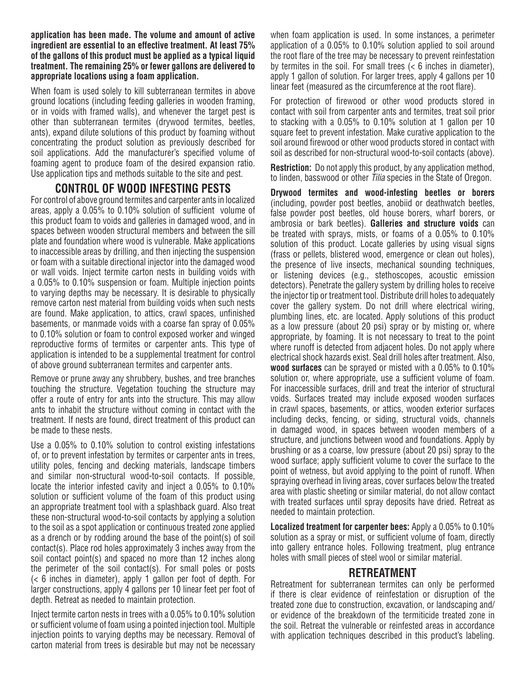**application has been made. The volume and amount of active ingredient are essential to an effective treatment. At least 75% of the gallons of this product must be applied as a typical liquid treatment. The remaining 25% or fewer gallons are delivered to appropriate locations using a foam application.**

When foam is used solely to kill subterranean termites in above ground locations (including feeding galleries in wooden framing, or in voids with framed walls), and whenever the target pest is other than subterranean termites (drywood termites, beetles, ants), expand dilute solutions of this product by foaming without concentrating the product solution as previously described for soil applications. Add the manufacturer's specified volume of foaming agent to produce foam of the desired expansion ratio. Use application tips and methods suitable to the site and pest.

## **CONTROL OF WOOD INFESTING PESTS**

For control of above ground termites and carpenter ants in localized areas, apply a 0.05% to 0.10% solution of sufficient volume of this product foam to voids and galleries in damaged wood, and in spaces between wooden structural members and between the sill plate and foundation where wood is vulnerable. Make applications to inaccessible areas by drilling, and then injecting the suspension or foam with a suitable directional injector into the damaged wood or wall voids. Inject termite carton nests in building voids with a 0.05% to 0.10% suspension or foam. Multiple injection points to varying depths may be necessary. It is desirable to physically remove carton nest material from building voids when such nests are found. Make application, to attics, crawl spaces, unfinished basements, or manmade voids with a coarse fan spray of 0.05% to 0.10% solution or foam to control exposed worker and winged reproductive forms of termites or carpenter ants. This type of application is intended to be a supplemental treatment for control of above ground subterranean termites and carpenter ants.

Remove or prune away any shrubbery, bushes, and tree branches touching the structure. Vegetation touching the structure may offer a route of entry for ants into the structure. This may allow ants to inhabit the structure without coming in contact with the treatment. If nests are found, direct treatment of this product can be made to these nests.

Use a 0.05% to 0.10% solution to control existing infestations of, or to prevent infestation by termites or carpenter ants in trees, utility poles, fencing and decking materials, landscape timbers and similar non-structural wood-to-soil contacts. If possible, locate the interior infested cavity and inject a 0.05% to 0.10% solution or sufficient volume of the foam of this product using an appropriate treatment tool with a splashback guard. Also treat these non-structural wood-to-soil contacts by applying a solution to the soil as a spot application or continuous treated zone applied as a drench or by rodding around the base of the point(s) of soil contact(s). Place rod holes approximately 3 inches away from the soil contact point(s) and spaced no more than 12 inches along the perimeter of the soil contact(s). For small poles or posts (< 6 inches in diameter), apply 1 gallon per foot of depth. For larger constructions, apply 4 gallons per 10 linear feet per foot of depth. Retreat as needed to maintain protection.

Inject termite carton nests in trees with a 0.05% to 0.10% solution or sufficient volume of foam using a pointed injection tool. Multiple injection points to varying depths may be necessary. Removal of carton material from trees is desirable but may not be necessary

when foam application is used. In some instances, a perimeter application of a 0.05% to 0.10% solution applied to soil around the root flare of the tree may be necessary to prevent reinfestation by termites in the soil. For small trees (< 6 inches in diameter), apply 1 gallon of solution. For larger trees, apply 4 gallons per 10 linear feet (measured as the circumference at the root flare).

For protection of firewood or other wood products stored in contact with soil from carpenter ants and termites, treat soil prior to stacking with a 0.05% to 0.10% solution at 1 gallon per 10 square feet to prevent infestation. Make curative application to the soil around firewood or other wood products stored in contact with soil as described for non-structural wood-to-soil contacts (above).

**Restriction:** Do not apply this product, by any application method, to linden, basswood or other *Tilia* species in the State of Oregon.

**Drywood termites and wood-infesting beetles or borers** (including, powder post beetles, anobiid or deathwatch beetles, false powder post beetles, old house borers, wharf borers, or ambrosia or bark beetles). **Galleries and structure voids** can be treated with sprays, mists, or foams of a 0.05% to 0.10% solution of this product. Locate galleries by using visual signs (frass or pellets, blistered wood, emergence or clean out holes), the presence of live insects, mechanical sounding techniques, or listening devices (e.g., stethoscopes, acoustic emission detectors). Penetrate the gallery system by drilling holes to receive the injector tip or treatment tool. Distribute drill holes to adequately cover the gallery system. Do not drill where electrical wiring, plumbing lines, etc. are located. Apply solutions of this product as a low pressure (about 20 psi) spray or by misting or, where appropriate, by foaming. It is not necessary to treat to the point where runoff is detected from adjacent holes. Do not apply where electrical shock hazards exist. Seal drill holes after treatment. Also, **wood surfaces** can be sprayed or misted with a 0.05% to 0.10% solution or, where appropriate, use a sufficient volume of foam. For inaccessible surfaces, drill and treat the interior of structural voids. Surfaces treated may include exposed wooden surfaces in crawl spaces, basements, or attics, wooden exterior surfaces including decks, fencing, or siding, structural voids, channels in damaged wood, in spaces between wooden members of a structure, and junctions between wood and foundations. Apply by brushing or as a coarse, low pressure (about 20 psi) spray to the wood surface; apply sufficient volume to cover the surface to the point of wetness, but avoid applying to the point of runoff. When spraying overhead in living areas, cover surfaces below the treated area with plastic sheeting or similar material, do not allow contact with treated surfaces until spray deposits have dried. Retreat as needed to maintain protection.

**Localized treatment for carpenter bees:** Apply a 0.05% to 0.10% solution as a spray or mist, or sufficient volume of foam, directly into gallery entrance holes. Following treatment, plug entrance holes with small pieces of steel wool or similar material.

#### **RETREATMENT**

Retreatment for subterranean termites can only be performed if there is clear evidence of reinfestation or disruption of the treated zone due to construction, excavation, or landscaping and/ or evidence of the breakdown of the termiticide treated zone in the soil. Retreat the vulnerable or reinfested areas in accordance with application techniques described in this product's labeling.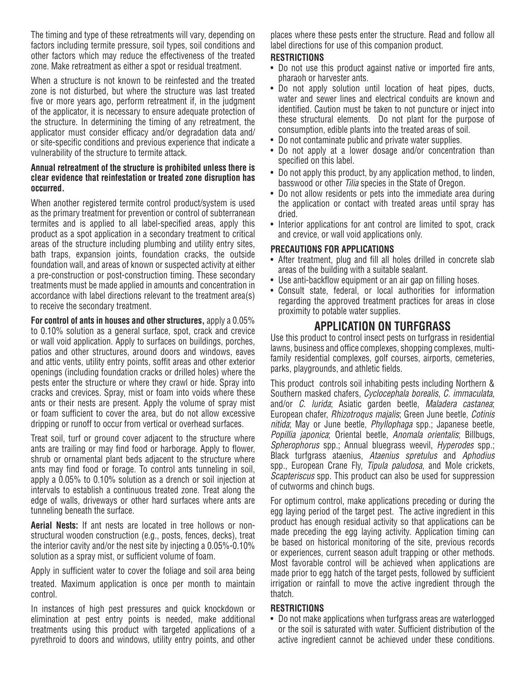The timing and type of these retreatments will vary, depending on factors including termite pressure, soil types, soil conditions and other factors which may reduce the effectiveness of the treated zone. Make retreatment as either a spot or residual treatment.

When a structure is not known to be reinfested and the treated zone is not disturbed, but where the structure was last treated five or more years ago, perform retreatment if, in the judgment of the applicator, it is necessary to ensure adequate protection of the structure. In determining the timing of any retreatment, the applicator must consider efficacy and/or degradation data and/ or site-specific conditions and previous experience that indicate a vulnerability of the structure to termite attack.

#### **Annual retreatment of the structure is prohibited unless there is clear evidence that reinfestation or treated zone disruption has occurred.**

When another registered termite control product/system is used as the primary treatment for prevention or control of subterranean termites and is applied to all label-specified areas, apply this product as a spot application in a secondary treatment to critical areas of the structure including plumbing and utility entry sites, bath traps, expansion joints, foundation cracks, the outside foundation wall, and areas of known or suspected activity at either a pre-construction or post-construction timing. These secondary treatments must be made applied in amounts and concentration in accordance with label directions relevant to the treatment area(s) to receive the secondary treatment.

**For control of ants in houses and other structures,** apply a 0.05% to 0.10% solution as a general surface, spot, crack and crevice or wall void application. Apply to surfaces on buildings, porches, patios and other structures, around doors and windows, eaves and attic vents, utility entry points, soffit areas and other exterior openings (including foundation cracks or drilled holes) where the pests enter the structure or where they crawl or hide. Spray into cracks and crevices. Spray, mist or foam into voids where these ants or their nests are present. Apply the volume of spray mist or foam sufficient to cover the area, but do not allow excessive dripping or runoff to occur from vertical or overhead surfaces.

Treat soil, turf or ground cover adjacent to the structure where ants are trailing or may find food or harborage. Apply to flower, shrub or ornamental plant beds adjacent to the structure where ants may find food or forage. To control ants tunneling in soil, apply a 0.05% to 0.10% solution as a drench or soil injection at intervals to establish a continuous treated zone. Treat along the edge of walls, driveways or other hard surfaces where ants are tunneling beneath the surface.

**Aerial Nests:** If ant nests are located in tree hollows or nonstructural wooden construction (e.g., posts, fences, decks), treat the interior cavity and/or the nest site by injecting a 0.05%-0.10% solution as a spray mist, or sufficient volume of foam.

Apply in sufficient water to cover the foliage and soil area being treated. Maximum application is once per month to maintain control.

In instances of high pest pressures and quick knockdown or elimination at pest entry points is needed, make additional treatments using this product with targeted applications of a pyrethroid to doors and windows, utility entry points, and other places where these pests enter the structure. Read and follow all label directions for use of this companion product.

#### **RESTRICTIONS**

- Do not use this product against native or imported fire ants, pharaoh or harvester ants.
- Do not apply solution until location of heat pipes, ducts, water and sewer lines and electrical conduits are known and identified. Caution must be taken to not puncture or inject into these structural elements. Do not plant for the purpose of consumption, edible plants into the treated areas of soil.
- Do not contaminate public and private water supplies.
- Do not apply at a lower dosage and/or concentration than specified on this label.
- Do not apply this product, by any application method, to linden, basswood or other *Tilia* species in the State of Oregon.
- Do not allow residents or pets into the immediate area during the application or contact with treated areas until spray has dried.
- Interior applications for ant control are limited to spot, crack and crevice, or wall void applications only.

#### **PRECAUTIONS FOR APPLICATIONS**

- After treatment, plug and fill all holes drilled in concrete slab areas of the building with a suitable sealant.
- Use anti-backflow equipment or an air gap on filling hoses.
- Consult state, federal, or local authorities for information regarding the approved treatment practices for areas in close proximity to potable water supplies.

## **APPLICATION ON TURFGRASS**

Use this product to control insect pests on turfgrass in residential lawns, business and office complexes, shopping complexes, multifamily residential complexes, golf courses, airports, cemeteries, parks, playgrounds, and athletic fields.

This product controls soil inhabiting pests including Northern & Southern masked chafers, *Cyclocephala borealis*, *C. immaculata*, and/or *C. lurida*; Asiatic garden beetle, *Maladera castanea*; European chafer, *Rhizotroqus majalis*; Green June beetle, *Cotinis nitida*; May or June beetle, *Phyllophaga* spp.; Japanese beetle, *Popillia japonica*; Oriental beetle, *Anomala orientalis*; Billbugs, *Spherophorus* spp.; Annual bluegrass weevil, *Hyperodes* spp.; Black turfgrass ataenius, *Ataenius spretulus* and *Aphodius* spp., European Crane Fly, *Tipula paludosa*, and Mole crickets, *Scapteriscus* spp. This product can also be used for suppression of cutworms and chinch bugs.

For optimum control, make applications preceding or during the egg laying period of the target pest. The active ingredient in this product has enough residual activity so that applications can be made preceding the egg laying activity. Application timing can be based on historical monitoring of the site, previous records or experiences, current season adult trapping or other methods. Most favorable control will be achieved when applications are made prior to egg hatch of the target pests, followed by sufficient irrigation or rainfall to move the active ingredient through the thatch.

#### **RESTRICTIONS**

• Do not make applications when turfgrass areas are waterlogged or the soil is saturated with water. Sufficient distribution of the active ingredient cannot be achieved under these conditions.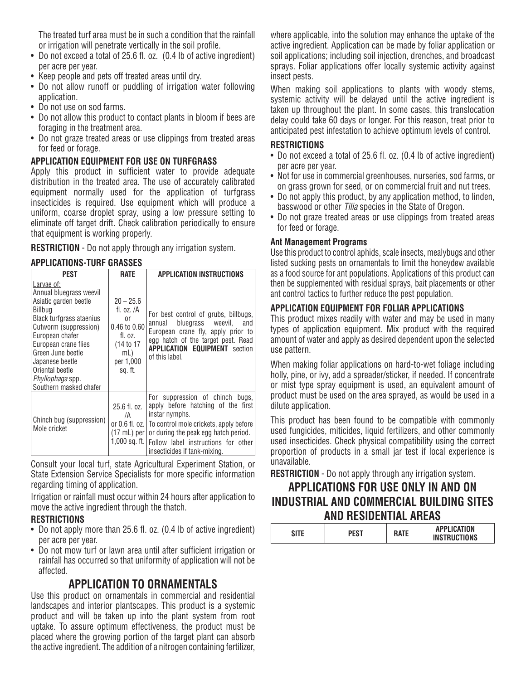The treated turf area must be in such a condition that the rainfall or irrigation will penetrate vertically in the soil profile.

- Do not exceed a total of 25.6 fl. oz. (0.4 lb of active ingredient) per acre per year.
- Keep people and pets off treated areas until dry.
- Do not allow runoff or puddling of irrigation water following application.
- Do not use on sod farms.
- Do not allow this product to contact plants in bloom if bees are foraging in the treatment area.
- Do not graze treated areas or use clippings from treated areas for feed or forage.

#### **APPLICATION EQUIPMENT FOR USE ON TURFGRASS**

Apply this product in sufficient water to provide adequate distribution in the treated area. The use of accurately calibrated equipment normally used for the application of turfgrass insecticides is required. Use equipment which will produce a uniform, coarse droplet spray, using a low pressure setting to eliminate off target drift. Check calibration periodically to ensure that equipment is working properly.

**RESTRICTION** - Do not apply through any irrigation system.

#### **APPLICATIONS-TURF GRASSES**

| <b>PEST</b>                                                                                                                                                                                                                                                                               | <b>RATE</b>                                                                                                        | APPLICATION INSTRUCTIONS                                                                                                                                                                                                                                                             |
|-------------------------------------------------------------------------------------------------------------------------------------------------------------------------------------------------------------------------------------------------------------------------------------------|--------------------------------------------------------------------------------------------------------------------|--------------------------------------------------------------------------------------------------------------------------------------------------------------------------------------------------------------------------------------------------------------------------------------|
| Larvae of:<br>Annual bluegrass weevil<br>Asiatic garden beetle<br>Billbug<br>Black turfgrass ataenius<br>Cutworm (suppression)<br>European chafer<br>European crane flies<br>Green June beetle<br>Japanese beetle<br>Oriental beetle<br><i>Phyllophaga</i> spp.<br>Southern masked chafer | $20 - 25.6$<br>fl. oz. /A<br><sub>0r</sub><br>0.46 to 0.60<br>fl. oz.<br>(14 to 17)<br>mL)<br>per 1,000<br>sg. ft. | For best control of grubs, billbugs,<br>bluegrass weevil,<br>and<br>annual<br>European crane fly, apply prior to<br>egg hatch of the target pest. Read<br><b>APPLICATION EQUIPMENT</b> section<br>of this label.                                                                     |
| Chinch bug (suppression)<br>Mole cricket                                                                                                                                                                                                                                                  | 25.6 fl. oz.<br>/A<br>$(17 \text{ mL})$ per $\vert$                                                                | For suppression of chinch<br>bugs.<br>apply before hatching of the first<br>instar nymphs.<br>or 0.6 fl. oz.   To control mole crickets, apply before<br>or during the peak egg hatch period.<br>1,000 sq. ft.   Follow label instructions for other<br>insecticides if tank-mixing. |

Consult your local turf, state Agricultural Experiment Station, or State Extension Service Specialists for more specific information regarding timing of application.

Irrigation or rainfall must occur within 24 hours after application to move the active ingredient through the thatch.

#### **RESTRICTIONS**

- Do not apply more than 25.6 fl. oz. (0.4 lb of active ingredient) per acre per year.
- Do not mow turf or lawn area until after sufficient irrigation or rainfall has occurred so that uniformity of application will not be affected.

## **APPLICATION TO ORNAMENTALS**

Use this product on ornamentals in commercial and residential landscapes and interior plantscapes. This product is a systemic product and will be taken up into the plant system from root uptake. To assure optimum effectiveness, the product must be placed where the growing portion of the target plant can absorb the active ingredient. The addition of a nitrogen containing fertilizer,

where applicable, into the solution may enhance the uptake of the active ingredient. Application can be made by foliar application or soil applications; including soil injection, drenches, and broadcast sprays. Foliar applications offer locally systemic activity against insect pests.

When making soil applications to plants with woody stems, systemic activity will be delayed until the active ingredient is taken up throughout the plant. In some cases, this translocation delay could take 60 days or longer. For this reason, treat prior to anticipated pest infestation to achieve optimum levels of control.

#### **RESTRICTIONS**

- Do not exceed a total of 25.6 fl. oz. (0.4 lb of active ingredient) per acre per year.
- Not for use in commercial greenhouses, nurseries, sod farms, or on grass grown for seed, or on commercial fruit and nut trees.
- Do not apply this product, by any application method, to linden, basswood or other *Tilia* species in the State of Oregon.
- Do not graze treated areas or use clippings from treated areas for feed or forage.

#### **Ant Management Programs**

Use this product to control aphids, scale insects, mealybugs and other listed sucking pests on ornamentals to limit the honeydew available as a food source for ant populations. Applications of this product can then be supplemented with residual sprays, bait placements or other ant control tactics to further reduce the pest population.

#### **APPLICATION EQUIPMENT FOR FOLIAR APPLICATIONS**

This product mixes readily with water and may be used in many types of application equipment. Mix product with the required amount of water and apply as desired dependent upon the selected use pattern.

When making foliar applications on hard-to-wet foliage including holly, pine, or ivy, add a spreader/sticker, if needed. If concentrate or mist type spray equipment is used, an equivalent amount of product must be used on the area sprayed, as would be used in a dilute application.

This product has been found to be compatible with commonly used fungicides, miticides, liquid fertilizers, and other commonly used insecticides. Check physical compatibility using the correct proportion of products in a small jar test if local experience is unavailable.

**RESTRICTION** - Do not apply through any irrigation system.

## **APPLICATIONS FOR USE ONLY IN AND ON INDUSTRIAL AND COMMERCIAL BUILDING SITES AND RESIDENTIAL AREAS**

|  | <b>RATF</b> | <b>APPLICATION</b><br><b>INSTRUCTIONS</b> |
|--|-------------|-------------------------------------------|
|--|-------------|-------------------------------------------|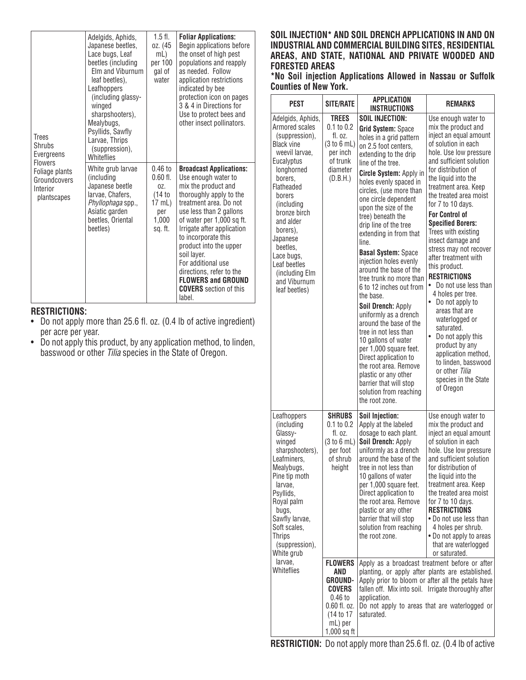| <b>Trees</b><br>Shrubs<br>Evergreens<br><b>Flowers</b>    | Adelgids, Aphids,<br>Japanese beetles,<br>Lace bugs, Leaf<br>beetles (including<br>Elm and Viburnum<br>leaf beetles).<br>Leafhoppers<br>(including glassy-<br>winged<br>sharpshooters),<br>Mealybugs,<br>Psyllids, Sawfly<br>Larvae, Thrips<br>(suppression),<br>Whiteflies | $1.5$ fl.<br>oz. (45<br>mL)<br>per 100<br>gal of<br>water                     | <b>Foliar Applications:</b><br>Begin applications before<br>the onset of high pest<br>populations and reapply<br>as needed. Follow<br>application restrictions<br>indicated by bee<br>protection icon on pages<br>3 & 4 in Directions for<br>Use to protect bees and<br>other insect pollinators.                                                                                                                 |
|-----------------------------------------------------------|-----------------------------------------------------------------------------------------------------------------------------------------------------------------------------------------------------------------------------------------------------------------------------|-------------------------------------------------------------------------------|-------------------------------------------------------------------------------------------------------------------------------------------------------------------------------------------------------------------------------------------------------------------------------------------------------------------------------------------------------------------------------------------------------------------|
| Foliage plants<br>Groundcovers<br>Interior<br>plantscapes | White grub larvae<br>(including<br>Japanese beetle<br>larvae, Chafers,<br>Phyllophaga spp.,<br>Asiatic garden<br>beetles, Oriental<br>beetles)                                                                                                                              | $0.46$ to<br>$0.60$ fl.<br>0Z.<br>(14 to<br>17 mL)<br>per<br>1,000<br>sq. ft. | <b>Broadcast Applications:</b><br>Use enough water to<br>mix the product and<br>thoroughly apply to the<br>treatment area. Do not<br>use less than 2 gallons<br>of water per 1,000 sq ft.<br>Irrigate after application<br>to incorporate this<br>product into the upper<br>soil layer.<br>For additional use<br>directions, refer to the<br><b>FLOWERS and GROUND</b><br><b>COVERS</b> section of this<br>label. |

#### **RESTRICTIONS:**

- Do not apply more than 25.6 fl. oz. (0.4 lb of active ingredient) per acre per year.
- Do not apply this product, by any application method, to linden, basswood or other *Tilia* species in the State of Oregon.

#### **SOIL INJECTION\* AND SOIL DRENCH APPLICATIONS IN AND ON INDUSTRIAL AND COMMERCIAL BUILDING SITES, RESIDENTIAL AREAS, AND STATE, NATIONAL AND PRIVATE WOODED AND FORESTED AREAS**

**\*No Soil injection Applications Allowed in Nassau or Suffolk Counties of New York.**

| PEST                                                                                                                                                                                                                                                                                                                        | <b>SITE/RATE</b>                                                                                                               | <b>APPLICATION</b><br><b>INSTRUCTIONS</b>                                                                                                                                                                                                                                                                                                                                                                                                                                                                                                                                                                                                                                                                                                                                                                                     | <b>REMARKS</b>                                                                                                                                                                                                                                                                                                                                                                                                                                                                                                                                                                                                                                                                                                                                             |
|-----------------------------------------------------------------------------------------------------------------------------------------------------------------------------------------------------------------------------------------------------------------------------------------------------------------------------|--------------------------------------------------------------------------------------------------------------------------------|-------------------------------------------------------------------------------------------------------------------------------------------------------------------------------------------------------------------------------------------------------------------------------------------------------------------------------------------------------------------------------------------------------------------------------------------------------------------------------------------------------------------------------------------------------------------------------------------------------------------------------------------------------------------------------------------------------------------------------------------------------------------------------------------------------------------------------|------------------------------------------------------------------------------------------------------------------------------------------------------------------------------------------------------------------------------------------------------------------------------------------------------------------------------------------------------------------------------------------------------------------------------------------------------------------------------------------------------------------------------------------------------------------------------------------------------------------------------------------------------------------------------------------------------------------------------------------------------------|
| Adelgids, Aphids,<br>Armored scales<br>(suppression),<br><b>Black vine</b><br>weevil larvae,<br>Eucalyptus<br>longhorned<br>borers,<br>Flatheaded<br>borers<br>(including<br>bronze birch<br>and alder<br>borers),<br>Japanese<br>beetles,<br>Lace bugs,<br>Leaf beetles<br>(including Elm<br>and Viburnum<br>leaf beetles) | TREES<br>0.1 to 0.2<br>fl. oz.<br>(3 to 6 mL)<br>per inch<br>of trunk<br>diameter<br>(D.B.H.)                                  | <b>SOIL INJECTION:</b><br><b>Grid System: Space</b><br>holes in a grid pattern<br>on 2.5 foot centers,<br>extending to the drip<br>line of the tree.<br>Circle System: Apply in<br>holes evenly spaced in<br>circles, (use more than<br>one circle dependent<br>upon the size of the<br>tree) beneath the<br>drip line of the tree<br>extending in from that<br>line.<br><b>Basal System: Space</b><br>injection holes evenly<br>around the base of the<br>tree trunk no more than<br>6 to 12 inches out from<br>the base.<br>Soil Drench: Apply<br>uniformly as a drench<br>around the base of the<br>tree in not less than<br>10 gallons of water<br>per 1,000 square feet.<br>Direct application to<br>the root area. Remove<br>plastic or any other<br>barrier that will stop<br>solution from reaching<br>the root zone. | Use enough water to<br>mix the product and<br>inject an equal amount<br>of solution in each<br>hole. Use low pressure<br>and sufficient solution<br>for distribution of<br>the liquid into the<br>treatment area. Keep<br>the treated area moist<br>for 7 to 10 days.<br><b>For Control of</b><br><b>Specified Borers:</b><br>Trees with existing<br>insect damage and<br>stress may not recover<br>after treatment with<br>this product.<br><b>RESTRICTIONS</b><br>Do not use less than<br>$\bullet$<br>4 holes per tree.<br>• Do not apply to<br>areas that are<br>waterlogged or<br>saturated.<br>$\bullet$<br>Do not apply this<br>product by any<br>application method,<br>to linden, basswood<br>or other Tilia<br>species in the State<br>of Oregon |
| Leafhoppers<br>(including<br>Glassy-<br>winged<br>sharpshooters),<br>Leafminers,<br>Mealybugs,<br>Pine tip moth<br>larvae,<br>Psyllids,<br>Royal palm<br>bugs,<br>Sawfly larvae,<br>Soft scales,<br><b>Thrips</b><br>(suppression),<br>White grub                                                                           | <b>SHRUBS</b><br>$0.1$ to $0.2$<br>fl. oz.<br>(3 to 6 mL)<br>per foot<br>of shrub<br>height                                    | Soil Injection:<br>Apply at the labeled<br>dosage to each plant.<br>Soil Drench: Apply<br>uniformly as a drench<br>around the base of the<br>tree in not less than<br>10 gallons of water<br>per 1,000 square feet.<br>Direct application to<br>the root area. Remove<br>plastic or any other<br>barrier that will stop<br>solution from reaching<br>the root zone.                                                                                                                                                                                                                                                                                                                                                                                                                                                           | Use enough water to<br>mix the product and<br>inject an equal amount<br>of solution in each<br>hole. Use low pressure<br>and sufficient solution<br>for distribution of<br>the liquid into the<br>treatment area. Keep<br>the treated area moist<br>for 7 to 10 days.<br><b>RESTRICTIONS</b><br>• Do not use less than<br>4 holes per shrub.<br>• Do not apply to areas<br>that are waterlogged<br>or saturated.                                                                                                                                                                                                                                                                                                                                           |
| larvae,<br>Whiteflies                                                                                                                                                                                                                                                                                                       | <b>FLOWERS</b><br>AND<br><b>GROUND-</b><br><b>COVERS</b><br>$0.46$ to<br>0.60 fl. oz.<br>(14 to 17<br>mL) per<br>$1,000$ sq ft | Apply as a broadcast treatment before or after<br>planting, or apply after plants are established.<br>Apply prior to bloom or after all the petals have<br>fallen off. Mix into soil. Irrigate thoroughly after<br>application.<br>Do not apply to areas that are waterlogged or<br>saturated.                                                                                                                                                                                                                                                                                                                                                                                                                                                                                                                                |                                                                                                                                                                                                                                                                                                                                                                                                                                                                                                                                                                                                                                                                                                                                                            |

**RESTRICTION:** Do not apply more than 25.6 fl. oz. (0.4 lb of active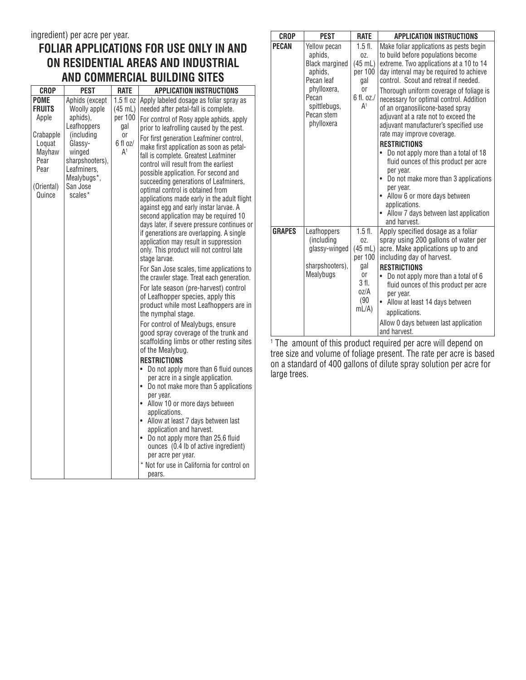## **FOLIAR APPLICATIONS FOR USE ONLY IN AND ON RESIDENTIAL AREAS AND INDUSTRIAL AND COMMERCIAL BUILDING SITES**

| <b>CROP</b>                                                                                                    | <b>PEST</b>                                                                                                                                                          | <b>RATE</b>                                                                    | <b>APPLICATION INSTRUCTIONS</b>                                                                                                                                                                                                                                                                                                                                                                                                                                                                                                                                                                                                                                                                                                                                                                                                                                                                                                                                                                                                                                                                                                                                                                                                                                                                                                                                                        |
|----------------------------------------------------------------------------------------------------------------|----------------------------------------------------------------------------------------------------------------------------------------------------------------------|--------------------------------------------------------------------------------|----------------------------------------------------------------------------------------------------------------------------------------------------------------------------------------------------------------------------------------------------------------------------------------------------------------------------------------------------------------------------------------------------------------------------------------------------------------------------------------------------------------------------------------------------------------------------------------------------------------------------------------------------------------------------------------------------------------------------------------------------------------------------------------------------------------------------------------------------------------------------------------------------------------------------------------------------------------------------------------------------------------------------------------------------------------------------------------------------------------------------------------------------------------------------------------------------------------------------------------------------------------------------------------------------------------------------------------------------------------------------------------|
| <b>POME</b><br><b>FRUITS</b><br>Apple<br>Crabapple<br>Loquat<br>Mayhaw<br>Pear<br>Pear<br>(Oriental)<br>Quince | Aphids (except<br>Woolly apple<br>aphids),<br>Leafhoppers<br>(including<br>Glassy-<br>winged<br>sharpshooters),<br>Leafminers,<br>Mealybugs*,<br>San Jose<br>scales* | 1.5f1oz<br>$(45$ mL)<br>per 100<br>gal<br>0r<br>$6$ fl $oz/$<br>$\mathsf{A}^1$ | Apply labeled dosage as foliar spray as<br>needed after petal-fall is complete.<br>For control of Rosy apple aphids, apply<br>prior to leafrolling caused by the pest.<br>For first generation Leafminer control,<br>make first application as soon as petal-<br>fall is complete. Greatest Leafminer<br>control will result from the earliest<br>possible application. For second and<br>succeeding generations of Leafminers,<br>optimal control is obtained from<br>applications made early in the adult flight<br>against egg and early instar larvae. A<br>second application may be required 10<br>days later, if severe pressure continues or<br>if generations are overlapping. A single<br>application may result in suppression<br>only. This product will not control late<br>stage larvae.<br>For San Jose scales, time applications to<br>the crawler stage. Treat each generation.<br>For late season (pre-harvest) control<br>of Leafhopper species, apply this<br>product while most Leafhoppers are in<br>the nymphal stage.<br>For control of Mealybugs, ensure<br>good spray coverage of the trunk and<br>scaffolding limbs or other resting sites<br>of the Mealybug.<br><b>RESTRICTIONS</b><br>Do not apply more than 6 fluid ounces<br>per acre in a single application.<br>Do not make more than 5 applications<br>per year.<br>• Allow 10 or more days between |
|                                                                                                                |                                                                                                                                                                      |                                                                                |                                                                                                                                                                                                                                                                                                                                                                                                                                                                                                                                                                                                                                                                                                                                                                                                                                                                                                                                                                                                                                                                                                                                                                                                                                                                                                                                                                                        |
|                                                                                                                |                                                                                                                                                                      |                                                                                | applications.<br>Allow at least 7 days between last<br>$\bullet$<br>application and harvest.<br>• Do not apply more than 25.6 fluid<br>ounces (0.4 lb of active ingredient)<br>per acre per year.                                                                                                                                                                                                                                                                                                                                                                                                                                                                                                                                                                                                                                                                                                                                                                                                                                                                                                                                                                                                                                                                                                                                                                                      |
|                                                                                                                |                                                                                                                                                                      |                                                                                | * Not for use in California for control on<br>pears.                                                                                                                                                                                                                                                                                                                                                                                                                                                                                                                                                                                                                                                                                                                                                                                                                                                                                                                                                                                                                                                                                                                                                                                                                                                                                                                                   |

| <b>CROP</b>   | <b>PEST</b>                                                                                                                                   | <b>RATE</b>                                                                                           | <b>APPLICATION INSTRUCTIONS</b>                                                                                                                                                                                                                                                                                                                                                                                                                                                                                                                                                                                                                                                                                                                 |
|---------------|-----------------------------------------------------------------------------------------------------------------------------------------------|-------------------------------------------------------------------------------------------------------|-------------------------------------------------------------------------------------------------------------------------------------------------------------------------------------------------------------------------------------------------------------------------------------------------------------------------------------------------------------------------------------------------------------------------------------------------------------------------------------------------------------------------------------------------------------------------------------------------------------------------------------------------------------------------------------------------------------------------------------------------|
| <b>PECAN</b>  | Yellow pecan<br>aphids,<br><b>Black margined</b><br>aphids,<br>Pecan leaf<br>phylloxera,<br>Pecan<br>spittlebugs,<br>Pecan stem<br>phylloxera | $1.5$ fl.<br>$0Z$ .<br>(45 mL)<br>per 100<br>gal<br>0r<br>6 fl. oz./<br>A <sup>1</sup>                | Make foliar applications as pests begin<br>to build before populations become<br>extreme. Two applications at a 10 to 14<br>day interval may be required to achieve<br>control. Scout and retreat if needed.<br>Thorough uniform coverage of foliage is<br>necessary for optimal control. Addition<br>of an organosilicone-based spray<br>adjuvant at a rate not to exceed the<br>adjuvant manufacturer's specified use<br>rate may improve coverage.<br><b>RESTRICTIONS</b><br>Do not apply more than a total of 18<br>fluid ounces of this product per acre<br>per year.<br>• Do not make more than 3 applications<br>per year.<br>• Allow 6 or more days between<br>applications.<br>• Allow 7 days between last application<br>and harvest. |
| <b>GRAPES</b> | Leafhoppers<br>(including<br>glassy-winged<br>sharpshooters),<br>Mealybugs                                                                    | $1.5$ fl.<br>$0Z$ .<br>$(45 \text{ mL})$<br>per 100<br>gal<br>0r<br>3 fl.<br>oz/A<br>(90)<br>$mL/A$ ) | Apply specified dosage as a foliar<br>spray using 200 gallons of water per<br>acre. Make applications up to and<br>including day of harvest.<br><b>RESTRICTIONS</b><br>Do not apply more than a total of 6<br>fluid ounces of this product per acre<br>per year.<br>• Allow at least 14 days between<br>applications.<br>Allow 0 days between last application<br>and harvest.                                                                                                                                                                                                                                                                                                                                                                  |

1 The amount of this product required per acre will depend on tree size and volume of foliage present. The rate per acre is based on a standard of 400 gallons of dilute spray solution per acre for large trees.